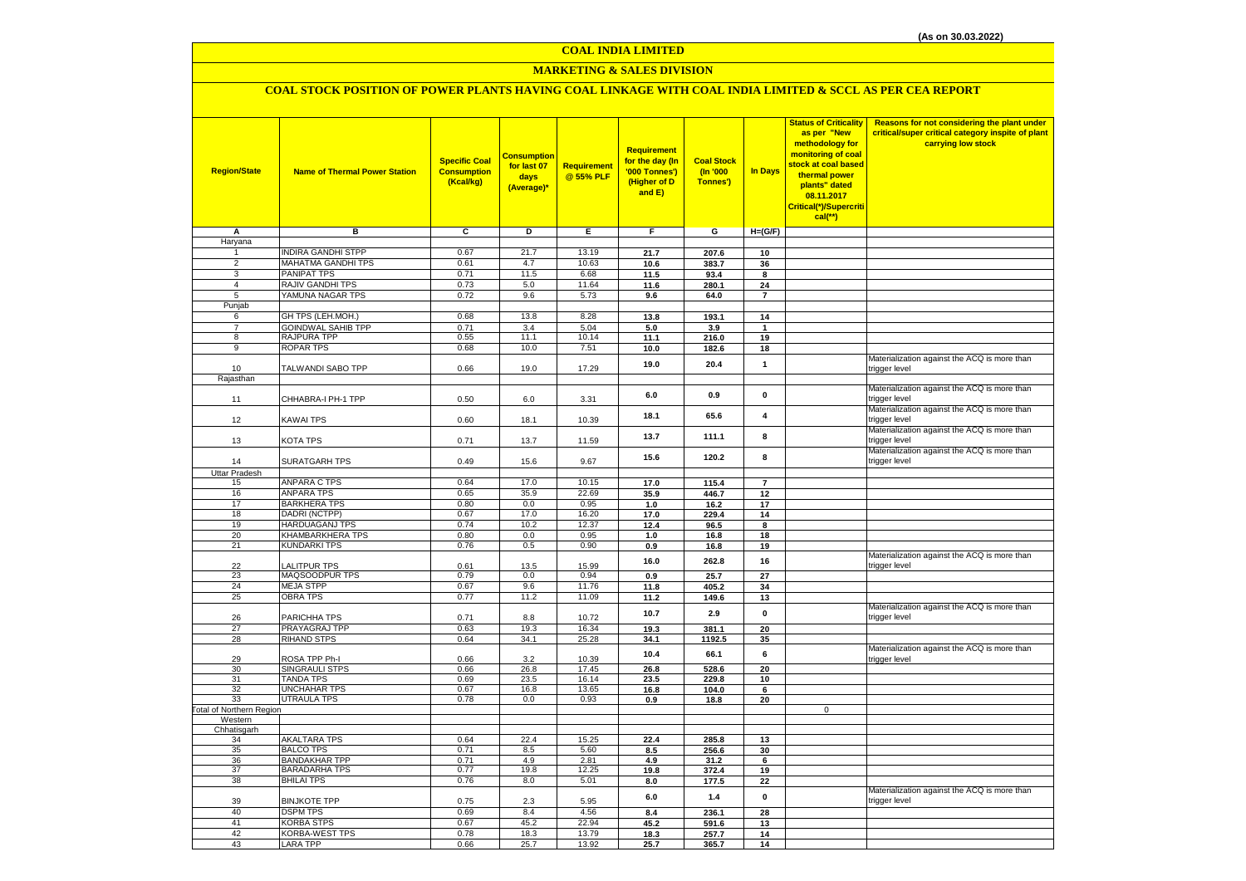#### **A B C D E F G H=(G/F)** Haryana 1 INDIRA GANDHI STPP 0.67 21.7 13.19 **21.7 207.6 10** 2 MAHATMA GANDHI TPS 0.61 4.7 10.63 **10.6 383.7 36** 3 PANIPAT TPS 0.71 11.5 6.68 **11.5 93.4 8** 4 RAJIV GANDHI TPS 0.73 5.0 11.64 **11.6 280.1 24** 5 YAMUNA NAGAR TPS 0.72 9.6 5.73 **9.6 64.0 7** Punjab 6 GH TPS (LEH.MOH.) 0.68 13.8 8.28 **13.8 193.1 14** 7 GOINDWAL SAHIB TPP 0.71 3.4 5.04 **5.0 3.9 1** 8 RAJPURA TPP 0.55 11.1 10.14 **11.1 216.0 19** 9 ROPAR TPS 0.68 10.0 7.51 **10.0 182.6 18** <sup>10</sup> TALWANDI SABO TPP 0.66 19.0 17.29 **19.0 20.4 <sup>1</sup>** Materialization against the ACQ is more than trigger level Rajasthan <sup>11</sup> CHHABRA-I PH-1 TPP 0.50 6.0 3.31 **6.0 0.9 <sup>0</sup>** Materialization against the ACQ is more than trigger level <sup>12</sup> KAWAI TPS 0.60 18.1 10.39 **18.1 65.6 <sup>4</sup>** Materialization against the ACQ is more than trigger level <sup>13</sup> KOTA TPS 0.71 13.7 11.59 **13.7 111.1 <sup>8</sup>** Materialization against the ACQ is more than trigger level <sup>14</sup> SURATGARH TPS 0.49 15.6 9.67 **15.6 120.2 <sup>8</sup>** Materialization against the ACQ is more than trigger level Uttar Pradesh 15 ANPARA C TPS 0.64 17.0 10.15 **17.0 115.4 7** 16 ANPARA TPS 0.65 35.9 22.69 **35.9 446.7 12** 17 BARKHERA TPS 0.80 0.0 0.95 **1.0 16.2 17** 18 DADRI (NCTPP) 0.67 17.0 16.20 **17.0 229.4 14** 19 HARDUAGANJ TPS 0.74 10.2 12.37 **12.4 96.5 8** 20 KHAMBARKHERA TPS 0.80 0.0 0.95 **1.0 16.8 18** 21 KUNDARKI TPS 0.76 0.5 0.90 **0.9 16.8 19 22** LALITPUR TPS **15.6** 13.5 15.99 **16.0 262.8 16 16** Materialization against the ACQ is more than trigger level 23 MAQSOODPUR TPS 0.79 0.0 0.94 **0.9 25.7 27** 24 MEJA STPP 0.67 9.6 11.76 **11.8 405.2 34** 25 OBRA TPS 0.77 11.2 11.09 **11.2 149.6 13** <sup>26</sup> PARICHHA TPS 0.71 8.8 10.72 **10.7 2.9 <sup>0</sup>** Materialization against the ACQ is more than trigger level 27 PRAYAGRAJ TPP 0.63 19.3 16.34 **19.3 381.1 20** 28 RIHAND STPS 0.64 34.1 25.28 **34.1 1192.5 35** <sup>29</sup> ROSA TPP Ph-I 0.66 3.2 10.39 **10.4 66.1 <sup>6</sup>** Materialization against the ACQ is more than trigger level 30 SINGRAULI STPS 0.66 26.8 17.45 **26.8 528.6 20** 31 TANDA TPS 0.69 23.5 16.14 **23.5 229.8 10** 32 UNCHAHAR TPS 0.67 16.8 13.65 **16.8 104.0 6** 33 UTRAULA TPS 0.78 0.0 0.93 **0.9 18.8 20** Total of Northern Region 0 Western Chhatisgarh 34 AKALTARA TPS 0.64 22.4 15.25 **22.4 285.8 13** 35 BALCO TPS 0.71 8.5 5.60 **8.5 256.6 30** 36 BANDAKHAR TPP 0.71 4.9 2.81 **4.9 31.2 6**  $BARADARHA TPS$ 38 BHILAI TPS 0.76 8.0 5.01 **8.0 177.5 22** <sup>39</sup> BINJKOTE TPP 0.75 2.3 5.95 **6.0 1.4 <sup>0</sup>** Materialization against the ACQ is more than trigger level **Requirement @ 55% PLF Requirement for the day (In '000 Tonnes') (Higher of D and E) Region/State Name of Thermal Power Station Specific Coal Consumption (Kcal/kg) <u>Status of Criticality | Reasons for not considering the plant under</u> critical/super critical category inspite of plant carrying low stock In Days as per "New methodology for monitoring of coal stock at coal based thermal power plants" dated 08.11.2017 Critical(\*)/Supercriti cal(\*\*) COAL INDIA LIMITED MARKETING & SALES DIVISION COAL STOCK POSITION OF POWER PLANTS HAVING COAL LINKAGE WITH COAL INDIA LIMITED & SCCL AS PER CEA REPORT Consumption for last 07 days (Average)\* Coal Stock (In '000 Tonnes')**

 DSPM TPS 0.69 8.4 4.56 **8.4 236.1 28** KORBA STPS 0.67 45.2 22.94 **45.2 591.6 13** KORBA-WEST TPS 0.78 18.3 13.79 **18.3 257.7 14** LARA TPP 0.66 25.7 13.92 **25.7 365.7 14**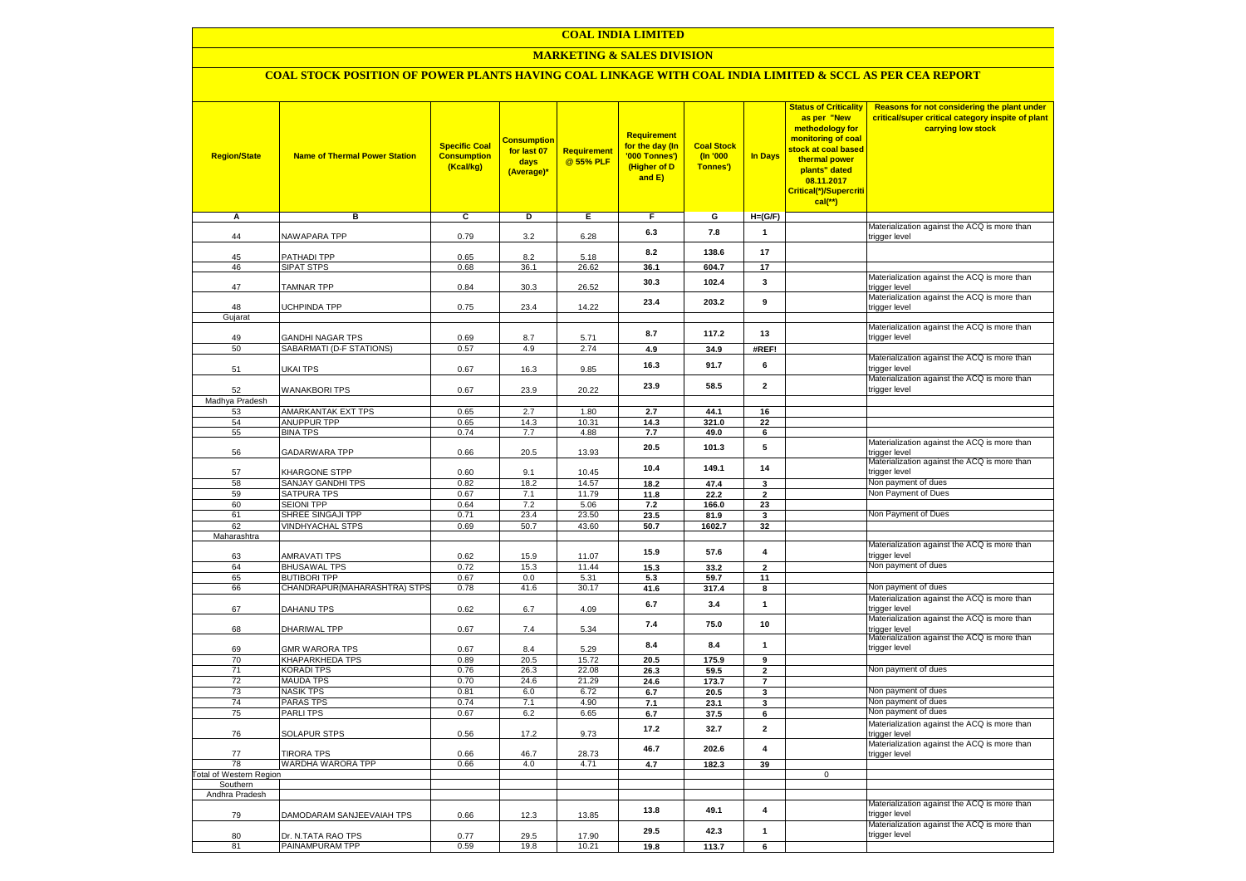# **COAL INDIA LIMITED**

# **MARKETING & SALES DIVISION**

# **COAL STOCK POSITION OF POWER PLANTS HAVING COAL LINKAGE WITH COAL INDIA LIMITED & SCCL AS PER CEA REPORT**

| <b>Region/State</b>            | <b>Name of Thermal Power Station</b>  | <b>Specific Coal</b><br><b>Consumption</b><br>(Kcal/kg) | <b>Consumption</b><br>for last 07<br>days<br>(Average)* | <b>Requirement</b><br>@ 55% PLF | Requirement<br>for the day (In<br>'000 Tonnes')<br>(Higher of D<br>and $E$ ) | <b>Coal Stock</b><br>(n'000)<br>Tonnes') | In Days                 | <b>Status of Criticality</b><br>as per "New<br>methodology for<br>monitoring of coal<br>stock at coal based<br>thermal power<br>plants" dated<br>08.11.2017<br>Critical(*)/Supercriti<br>$cal$ (**) | Reasons for not considering the plant under<br>critical/super critical category inspite of plant<br>carrying low stock |
|--------------------------------|---------------------------------------|---------------------------------------------------------|---------------------------------------------------------|---------------------------------|------------------------------------------------------------------------------|------------------------------------------|-------------------------|-----------------------------------------------------------------------------------------------------------------------------------------------------------------------------------------------------|------------------------------------------------------------------------------------------------------------------------|
| Α                              | в                                     | C                                                       | D                                                       | Е                               | F                                                                            | G                                        | $H=(G/F)$               |                                                                                                                                                                                                     | Materialization against the ACQ is more than                                                                           |
| 44                             | NAWAPARA TPP                          | 0.79                                                    | 3.2                                                     | 6.28                            | 6.3                                                                          | 7.8                                      | 1                       |                                                                                                                                                                                                     | trigger level                                                                                                          |
| 45                             | <b>PATHADI TPP</b>                    | 0.65                                                    | 8.2                                                     | 5.18                            | 8.2                                                                          | 138.6                                    | 17                      |                                                                                                                                                                                                     |                                                                                                                        |
| 46                             | <b>SIPAT STPS</b>                     | 0.68                                                    | 36.1                                                    | 26.62                           | 36.1                                                                         | 604.7                                    | 17                      |                                                                                                                                                                                                     |                                                                                                                        |
| 47                             | <b>TAMNAR TPP</b>                     | 0.84                                                    | 30.3                                                    | 26.52                           | 30.3                                                                         | 102.4                                    | 3                       |                                                                                                                                                                                                     | Materialization against the ACQ is more than<br>trigger level                                                          |
| 48                             | JCHPINDA TPP                          | 0.75                                                    | 23.4                                                    | 14.22                           | 23.4                                                                         | 203.2                                    | 9                       |                                                                                                                                                                                                     | Materialization against the ACQ is more than<br>trigger level                                                          |
| Gujarat                        |                                       |                                                         |                                                         |                                 |                                                                              |                                          |                         |                                                                                                                                                                                                     |                                                                                                                        |
| 49                             | GANDHI NAGAR TPS                      | 0.69                                                    | 8.7                                                     | 5.71                            | 8.7                                                                          | 117.2                                    | 13                      |                                                                                                                                                                                                     | Materialization against the ACQ is more than<br>trigger level                                                          |
| 50                             | SABARMATI (D-F STATIONS)              | 0.57                                                    | 4.9                                                     | 2.74                            | 4.9                                                                          | 34.9                                     | #REF!                   |                                                                                                                                                                                                     |                                                                                                                        |
| 51                             | UKAI TPS                              | 0.67                                                    | 16.3                                                    | 9.85                            | 16.3                                                                         | 91.7                                     | 6                       |                                                                                                                                                                                                     | Materialization against the ACQ is more than<br>trigger level                                                          |
| 52                             | <b>WANAKBORI TPS</b>                  | 0.67                                                    | 23.9                                                    | 20.22                           | 23.9                                                                         | 58.5                                     | $\mathbf{2}$            |                                                                                                                                                                                                     | Materialization against the ACQ is more than<br>trigger level                                                          |
| Madhya Pradesh<br>53           | AMARKANTAK EXT TPS                    | 0.65                                                    | 2.7                                                     | 1.80                            | 2.7                                                                          | 44.1                                     | 16                      |                                                                                                                                                                                                     |                                                                                                                        |
| 54                             | ANUPPUR TPP                           | 0.65                                                    | 14.3                                                    | 10.31                           | 14.3                                                                         | 321.0                                    | 22                      |                                                                                                                                                                                                     |                                                                                                                        |
| 55                             | <b>BINA TPS</b>                       | 0.74                                                    | 7.7                                                     | 4.88                            | 7.7                                                                          | 49.0                                     | 6                       |                                                                                                                                                                                                     |                                                                                                                        |
| 56                             | <b>GADARWARA TPP</b>                  | 0.66                                                    | 20.5                                                    | 13.93                           | 20.5                                                                         | 101.3                                    | 5                       |                                                                                                                                                                                                     | Materialization against the ACQ is more than<br>trigger level                                                          |
| 57                             | KHARGONE STPP                         | 0.60                                                    | 9.1                                                     | 10.45                           | 10.4                                                                         | 149.1                                    | 14                      |                                                                                                                                                                                                     | Materialization against the ACQ is more than<br>trigger level                                                          |
| 58                             | SANJAY GANDHI TPS                     | 0.82                                                    | 18.2                                                    | 14.57                           | 18.2                                                                         | 47.4                                     | $\mathbf 3$             |                                                                                                                                                                                                     | Non payment of dues                                                                                                    |
| 59                             | <b>SATPURA TPS</b>                    | 0.67                                                    | 7.1                                                     | 11.79                           | 11.8                                                                         | 22.2                                     | $\mathbf{2}$            |                                                                                                                                                                                                     | Non Payment of Dues                                                                                                    |
| 60                             | <b>SEIONI TPP</b>                     | 0.64                                                    | 7.2                                                     | 5.06                            | 7.2                                                                          | 166.0                                    | 23                      |                                                                                                                                                                                                     |                                                                                                                        |
| 61                             | SHREE SINGAJI TPP                     | 0.71                                                    | 23.4                                                    | 23.50                           | 23.5                                                                         | 81.9                                     | 3                       |                                                                                                                                                                                                     | Non Payment of Dues                                                                                                    |
| 62<br>Maharashtra              | VINDHYACHAL STPS                      | 0.69                                                    | 50.7                                                    | 43.60                           | 50.7                                                                         | 1602.7                                   | 32                      |                                                                                                                                                                                                     |                                                                                                                        |
|                                |                                       |                                                         |                                                         |                                 |                                                                              |                                          |                         |                                                                                                                                                                                                     | Materialization against the ACQ is more than                                                                           |
| 63<br>64                       | AMRAVATI TPS<br><b>BHUSAWAL TPS</b>   | 0.62<br>0.72                                            | 15.9<br>15.3                                            | 11.07<br>11.44                  | 15.9<br>15.3                                                                 | 57.6<br>33.2                             | 4<br>$\overline{2}$     |                                                                                                                                                                                                     | trigger level<br>Non payment of dues                                                                                   |
| 65                             | <b>BUTIBORI TPP</b>                   | 0.67                                                    | 0.0                                                     | 5.31                            | 5.3                                                                          | 59.7                                     | 11                      |                                                                                                                                                                                                     |                                                                                                                        |
| 66                             | CHANDRAPUR(MAHARASHTRA) STPS          | 0.78                                                    | 41.6                                                    | 30.17                           | 41.6                                                                         | 317.4                                    | 8                       |                                                                                                                                                                                                     | Non payment of dues                                                                                                    |
| 67                             | DAHANU TPS                            | 0.62                                                    | 6.7                                                     | 4.09                            | 6.7                                                                          | 3.4                                      | $\mathbf{1}$            |                                                                                                                                                                                                     | Materialization against the ACQ is more than<br>trigger level                                                          |
| 68                             | DHARIWAL TPP                          | 0.67                                                    | 7.4                                                     | 5.34                            | 7.4                                                                          | 75.0                                     | 10                      |                                                                                                                                                                                                     | Materialization against the ACQ is more than<br>trigger level                                                          |
| 69                             | GMR WARORA TPS                        | 0.67                                                    | 8.4                                                     | 5.29                            | 8.4                                                                          | 8.4                                      | 1                       |                                                                                                                                                                                                     | Materialization against the ACQ is more than<br>trigger level                                                          |
| 70                             | <b>KHAPARKHEDA TPS</b>                | 0.89                                                    | 20.5                                                    | 15.72                           | 20.5                                                                         | 175.9                                    | 9                       |                                                                                                                                                                                                     |                                                                                                                        |
| 71                             | KORADI TPS                            | 0.76                                                    | 26.3                                                    | 22.08                           | 26.3                                                                         | 59.5                                     | $\mathbf 2$             |                                                                                                                                                                                                     | Non payment of dues                                                                                                    |
| 72<br>73                       | <b>MAUDA TPS</b><br><b>NASIK TPS</b>  | 0.70<br>0.81                                            | 24.6<br>6.0                                             | 21.29<br>6.72                   | 24.6<br>6.7                                                                  | 173.7<br>20.5                            | $\overline{7}$          |                                                                                                                                                                                                     | Non payment of dues                                                                                                    |
| 74                             | <b>PARAS TPS</b>                      | 0.74                                                    | 7.1                                                     | 4.90                            | 7.1                                                                          | 23.1                                     | 3<br>3                  |                                                                                                                                                                                                     | Non payment of dues                                                                                                    |
| 75                             | PARLI TPS                             | 0.67                                                    | 6.2                                                     | 6.65                            | 6.7                                                                          | 37.5                                     | 6                       |                                                                                                                                                                                                     | Non payment of dues                                                                                                    |
| 76                             | <b>SOLAPUR STPS</b>                   | 0.56                                                    | 17.2                                                    | 9.73                            | 17.2                                                                         | 32.7                                     | $\overline{\mathbf{2}}$ |                                                                                                                                                                                                     | Materialization against the ACQ is more than<br>trigger level                                                          |
| 77                             | <b>TIRORA TPS</b>                     | 0.66                                                    | 46.7                                                    | 28.73                           | 46.7                                                                         | 202.6                                    | 4                       |                                                                                                                                                                                                     | Materialization against the ACQ is more than<br>trigger level                                                          |
| 78                             | WARDHA WARORA TPP                     | 0.66                                                    | 4.0                                                     | 4.71                            | 4.7                                                                          | 182.3                                    | 39                      |                                                                                                                                                                                                     |                                                                                                                        |
| <b>Total of Western Region</b> |                                       |                                                         |                                                         |                                 |                                                                              |                                          |                         | $\mathbf{0}$                                                                                                                                                                                        |                                                                                                                        |
| Southern                       |                                       |                                                         |                                                         |                                 |                                                                              |                                          |                         |                                                                                                                                                                                                     |                                                                                                                        |
| Andhra Pradesh                 |                                       |                                                         |                                                         |                                 | 13.8                                                                         | 49.1                                     | $\overline{\mathbf{4}}$ |                                                                                                                                                                                                     | Materialization against the ACQ is more than                                                                           |
| 79                             | DAMODARAM SANJEEVAIAH TPS             | 0.66                                                    | 12.3                                                    | 13.85                           | 29.5                                                                         | 42.3                                     | $\mathbf{1}$            |                                                                                                                                                                                                     | trigger level<br>Materialization against the ACQ is more than                                                          |
| 80<br>81                       | Dr. N.TATA RAO TPS<br>PAINAMPURAM TPP | 0.77<br>0.59                                            | 29.5<br>19.8                                            | 17.90<br>10.21                  |                                                                              |                                          |                         |                                                                                                                                                                                                     | trigger level                                                                                                          |
|                                |                                       |                                                         |                                                         |                                 | 19.8                                                                         | 113.7                                    | 6                       |                                                                                                                                                                                                     |                                                                                                                        |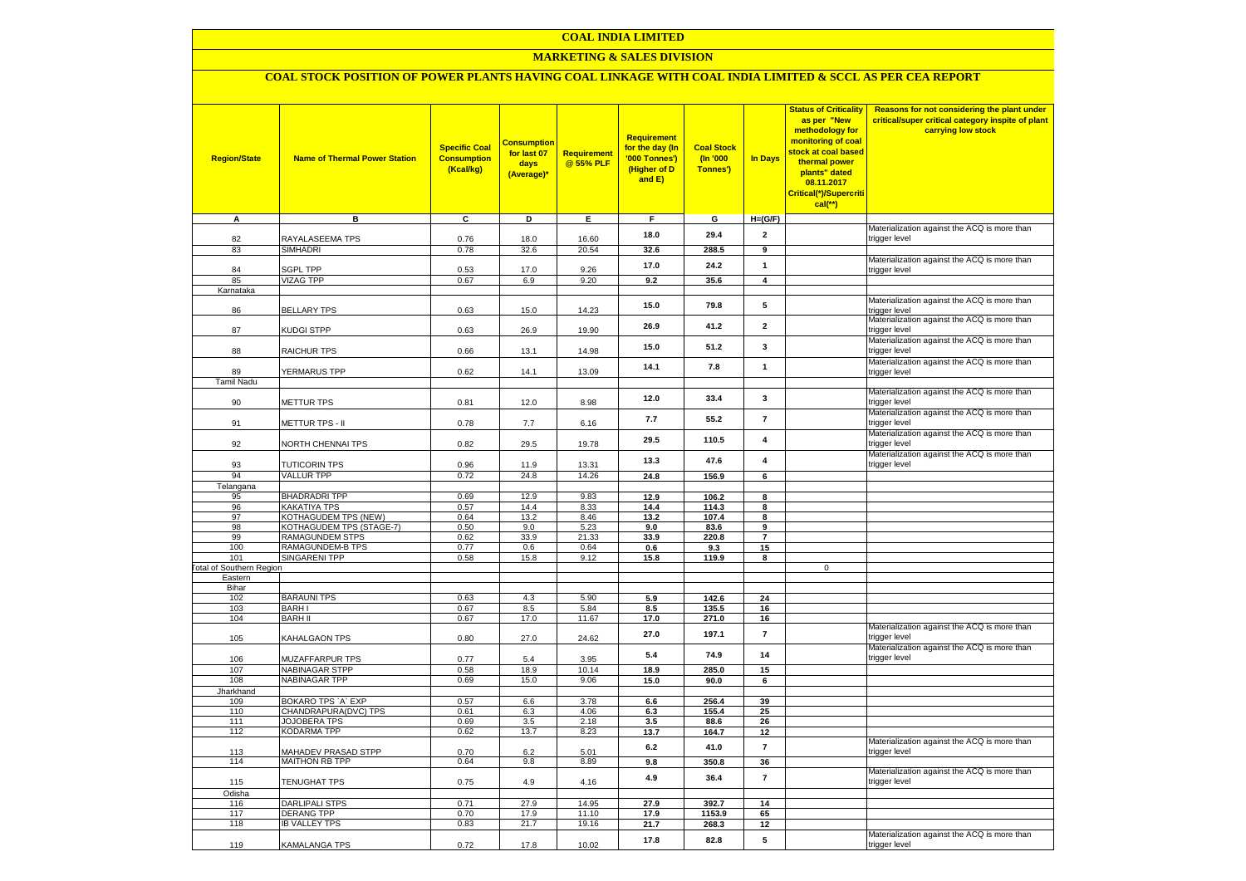### **COAL INDIA LIMITED**

#### **MARKETING & SALES DIVISION**

# **COAL STOCK POSITION OF POWER PLANTS HAVING COAL LINKAGE WITH COAL INDIA LIMITED & SCCL AS PER CEA REPORT**

| <b>Region/State</b>                    | <b>Name of Thermal Power Station</b>        | <b>Specific Coal</b><br><b>Consumption</b><br>(Kcal/kg) | <b>Consumption</b><br>for last 07<br>days<br>(Average)* | Requirement<br>@ 55% PLF | <b>Requirement</b><br><mark>for the day (In</mark><br>'000 Tonnes')<br>(Higher of D<br>and E) | <b>Coal Stock</b><br>(n'000)<br>Tonnes') | <b>In Days</b>          | <b>Status of Criticality</b><br>as per "New<br>methodology for<br>monitoring of coal<br>stock at coal based<br>thermal power<br>plants" dated<br>08.11.2017<br>Critical(*)/Supercriti<br>$cal$ (**) | Reasons for not considering the plant under<br>critical/super critical category inspite of plant<br>carrying low stock |
|----------------------------------------|---------------------------------------------|---------------------------------------------------------|---------------------------------------------------------|--------------------------|-----------------------------------------------------------------------------------------------|------------------------------------------|-------------------------|-----------------------------------------------------------------------------------------------------------------------------------------------------------------------------------------------------|------------------------------------------------------------------------------------------------------------------------|
| А                                      | в                                           | C                                                       | D                                                       | Е.                       | F.                                                                                            | G                                        | $H=(G/F)$               |                                                                                                                                                                                                     |                                                                                                                        |
| 82                                     | RAYALASEEMA TPS                             | 0.76                                                    | 18.0                                                    | 16.60                    | 18.0                                                                                          | 29.4                                     | $\overline{\mathbf{2}}$ |                                                                                                                                                                                                     | Materialization against the ACQ is more than<br>trigger level                                                          |
| 83                                     | <b>SIMHADRI</b>                             | 0.78                                                    | 32.6                                                    | 20.54                    | 32.6                                                                                          | 288.5                                    | 9                       |                                                                                                                                                                                                     |                                                                                                                        |
|                                        |                                             |                                                         |                                                         |                          | 17.0                                                                                          | 24.2                                     | $\mathbf{1}$            |                                                                                                                                                                                                     | Materialization against the ACQ is more than                                                                           |
| 84<br>85                               | <b>SGPL TPP</b><br><b>VIZAG TPP</b>         | 0.53<br>0.67                                            | 17.0<br>6.9                                             | 9.26<br>9.20             | 9.2                                                                                           |                                          | $\overline{\mathbf{4}}$ |                                                                                                                                                                                                     | trigger level                                                                                                          |
| Karnataka                              |                                             |                                                         |                                                         |                          |                                                                                               | 35.6                                     |                         |                                                                                                                                                                                                     |                                                                                                                        |
|                                        |                                             |                                                         |                                                         |                          | 15.0                                                                                          | 79.8                                     | 5                       |                                                                                                                                                                                                     | Materialization against the ACQ is more than                                                                           |
| 86                                     | <b>BELLARY TPS</b>                          | 0.63                                                    | 15.0                                                    | 14.23                    |                                                                                               |                                          |                         |                                                                                                                                                                                                     | trigger level                                                                                                          |
| 87                                     | KUDGI STPP                                  | 0.63                                                    | 26.9                                                    | 19.90                    | 26.9                                                                                          | 41.2                                     | $\overline{2}$          |                                                                                                                                                                                                     | Materialization against the ACQ is more than<br>trigger level                                                          |
| 88                                     | RAICHUR TPS                                 | 0.66                                                    | 13.1                                                    | 14.98                    | 15.0                                                                                          | 51.2                                     | $\mathbf 3$             |                                                                                                                                                                                                     | Materialization against the ACQ is more than<br>trigger level                                                          |
| 89                                     | YERMARUS TPP                                | 0.62                                                    | 14.1                                                    | 13.09                    | 14.1                                                                                          | 7.8                                      | $\mathbf{1}$            |                                                                                                                                                                                                     | Materialization against the ACQ is more than<br>trigger level                                                          |
| <b>Tamil Nadu</b>                      |                                             |                                                         |                                                         |                          |                                                                                               |                                          |                         |                                                                                                                                                                                                     |                                                                                                                        |
| 90                                     | METTUR TPS                                  | 0.81                                                    | 12.0                                                    | 8.98                     | 12.0                                                                                          | 33.4                                     | 3                       |                                                                                                                                                                                                     | Materialization against the ACQ is more than<br>trigger level                                                          |
| 91                                     | METTUR TPS - II                             | 0.78                                                    | 7.7                                                     | 6.16                     | 7.7                                                                                           | 55.2                                     | $\overline{7}$          |                                                                                                                                                                                                     | Materialization against the ACQ is more than<br>trigger level                                                          |
| 92                                     | NORTH CHENNAI TPS                           | 0.82                                                    | 29.5                                                    | 19.78                    | 29.5                                                                                          | 110.5                                    | $\overline{\mathbf{4}}$ |                                                                                                                                                                                                     | Materialization against the ACQ is more than<br>trigger level                                                          |
| 93                                     | <b>TUTICORIN TPS</b>                        | 0.96                                                    | 11.9                                                    | 13.31                    | 13.3                                                                                          | 47.6                                     | $\overline{\mathbf{4}}$ |                                                                                                                                                                                                     | Materialization against the ACQ is more than<br>trigger level                                                          |
| 94                                     | <b>VALLUR TPP</b>                           | 0.72                                                    | 24.8                                                    | 14.26                    | 24.8                                                                                          | 156.9                                    | 6                       |                                                                                                                                                                                                     |                                                                                                                        |
| Telangana                              |                                             |                                                         |                                                         |                          |                                                                                               |                                          |                         |                                                                                                                                                                                                     |                                                                                                                        |
| 95<br>96                               | <b>BHADRADRI TPP</b><br><b>KAKATIYA TPS</b> | 0.69<br>0.57                                            | 12.9<br>14.4                                            | 9.83<br>8.33             | 12.9<br>14.4                                                                                  | 106.2<br>114.3                           | 8<br>8                  |                                                                                                                                                                                                     |                                                                                                                        |
| 97                                     | <b>KOTHAGUDEM TPS (NEW)</b>                 | 0.64                                                    | 13.2                                                    | 8.46                     | 13.2                                                                                          | 107.4                                    | 8                       |                                                                                                                                                                                                     |                                                                                                                        |
| 98                                     | KOTHAGUDEM TPS (STAGE-7)                    | 0.50                                                    | 9.0                                                     | 5.23                     | 9.0                                                                                           | 83.6                                     | 9                       |                                                                                                                                                                                                     |                                                                                                                        |
| 99                                     | RAMAGUNDEM STPS                             | 0.62                                                    | 33.9                                                    | 21.33                    | 33.9                                                                                          | 220.8                                    | $\overline{7}$          |                                                                                                                                                                                                     |                                                                                                                        |
| 100                                    | RAMAGUNDEM-B TPS                            | 0.77                                                    | 0.6                                                     | 0.64                     | 0.6                                                                                           | 9.3                                      | 15                      |                                                                                                                                                                                                     |                                                                                                                        |
| 101<br><b>Fotal of Southern Region</b> | SINGARENI TPP                               | 0.58                                                    | 15.8                                                    | 9.12                     | 15.8                                                                                          | 119.9                                    | 8                       | $\mathbf 0$                                                                                                                                                                                         |                                                                                                                        |
| Eastern                                |                                             |                                                         |                                                         |                          |                                                                                               |                                          |                         |                                                                                                                                                                                                     |                                                                                                                        |
| Bihar                                  |                                             |                                                         |                                                         |                          |                                                                                               |                                          |                         |                                                                                                                                                                                                     |                                                                                                                        |
| 102                                    | <b>BARAUNI TPS</b>                          | 0.63                                                    | 4.3                                                     | 5.90                     | 5.9                                                                                           | 142.6                                    | 24                      |                                                                                                                                                                                                     |                                                                                                                        |
| 103                                    | <b>BARHI</b>                                | 0.67                                                    | 8.5                                                     | 5.84                     | 8.5                                                                                           | 135.5                                    | 16                      |                                                                                                                                                                                                     |                                                                                                                        |
| 104                                    | <b>BARH II</b>                              | 0.67                                                    | 17.0                                                    | 11.67                    | 17.0                                                                                          | 271.0                                    | 16                      |                                                                                                                                                                                                     | Materialization against the ACQ is more than                                                                           |
| 105                                    | KAHALGAON TPS                               | 0.80                                                    | 27.0                                                    | 24.62                    | 27.0                                                                                          | 197.1                                    | $\overline{7}$          |                                                                                                                                                                                                     | trigger level<br>Materialization against the ACQ is more than                                                          |
| 106                                    | MUZAFFARPUR TPS                             | 0.77                                                    | 5.4                                                     | 3.95                     | 5.4                                                                                           | 74.9                                     | 14                      |                                                                                                                                                                                                     | trigger level                                                                                                          |
| 107<br>108                             | NABINAGAR STPP<br><b>NABINAGAR TPP</b>      | 0.58<br>0.69                                            | 18.9<br>15.0                                            | 10.14<br>9.06            | 18.9<br>15.0                                                                                  | 285.0<br>90.0                            | 15<br>6                 |                                                                                                                                                                                                     |                                                                                                                        |
| Jharkhand                              |                                             |                                                         |                                                         |                          |                                                                                               |                                          |                         |                                                                                                                                                                                                     |                                                                                                                        |
| 109                                    | BOKARO TPS `A` EXP                          | 0.57                                                    | $6.6\,$                                                 | 3.78                     | $\bf6.6$                                                                                      | 256.4                                    | 39                      |                                                                                                                                                                                                     |                                                                                                                        |
| 110                                    | CHANDRAPURA(DVC) TPS                        | 0.61                                                    | 6.3                                                     | 4.06                     | 6.3                                                                                           | 155.4                                    | 25                      |                                                                                                                                                                                                     |                                                                                                                        |
| 111                                    | <b>JOJOBERA TPS</b>                         | 0.69                                                    | 3.5                                                     | 2.18                     | 3.5                                                                                           | 88.6                                     | 26                      |                                                                                                                                                                                                     |                                                                                                                        |
| 112                                    | KODARMA TPP                                 | 0.62                                                    | 13.7                                                    | 8.23                     | 13.7                                                                                          | 164.7                                    | 12                      |                                                                                                                                                                                                     | Materialization against the ACQ is more than                                                                           |
| 113                                    | <b>MAHADEV PRASAD STPP</b>                  | 0.70                                                    | $6.2\,$                                                 | 5.01                     | 6.2                                                                                           | 41.0                                     | $\overline{7}$          |                                                                                                                                                                                                     | trigger level                                                                                                          |
| 114                                    | MAITHON RB TPP                              | 0.64                                                    | 9.8                                                     | 8.89                     | 9.8<br>4.9                                                                                    | 350.8<br>36.4                            | 36<br>$\overline{7}$    |                                                                                                                                                                                                     | Materialization against the ACQ is more than                                                                           |
| 115<br>Odisha                          | <b>TENUGHAT TPS</b>                         | 0.75                                                    | 4.9                                                     | 4.16                     |                                                                                               |                                          |                         |                                                                                                                                                                                                     | trigger level                                                                                                          |
| 116                                    | <b>DARLIPALI STPS</b>                       | 0.71                                                    | 27.9                                                    | 14.95                    | 27.9                                                                                          | 392.7                                    | 14                      |                                                                                                                                                                                                     |                                                                                                                        |
| 117                                    | DERANG TPP                                  | 0.70                                                    | 17.9                                                    | 11.10                    | 17.9                                                                                          | 1153.9                                   | 65                      |                                                                                                                                                                                                     |                                                                                                                        |
| 118                                    | <b>IB VALLEY TPS</b>                        | 0.83                                                    | 21.7                                                    | 19.16                    | 21.7                                                                                          | 268.3                                    | 12                      |                                                                                                                                                                                                     |                                                                                                                        |
| 119                                    | KAMALANGA TPS                               | 0.72                                                    | 17.8                                                    | 10.02                    | 17.8                                                                                          | 82.8                                     | 5                       |                                                                                                                                                                                                     | Materialization against the ACQ is more than<br>trigger level                                                          |